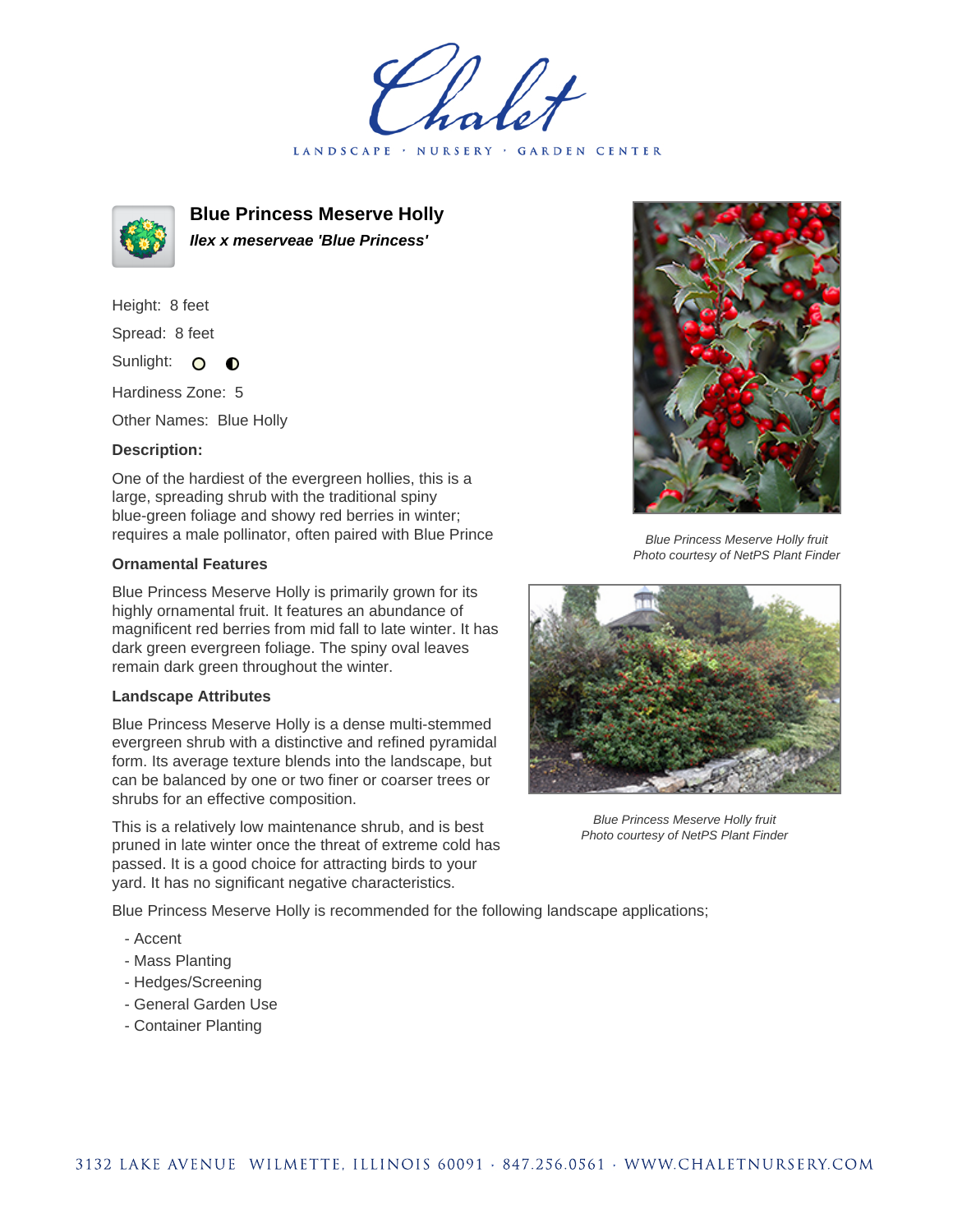LANDSCAPE · NURSERY · GARDEN CENTER



**Blue Princess Meserve Holly Ilex x meserveae 'Blue Princess'**

Height: 8 feet Spread: 8 feet Sunlight: O  $\bullet$ 

Hardiness Zone: 5

Other Names: Blue Holly

## **Description:**

One of the hardiest of the evergreen hollies, this is a large, spreading shrub with the traditional spiny blue-green foliage and showy red berries in winter; requires a male pollinator, often paired with Blue Prince

## **Ornamental Features**

Blue Princess Meserve Holly is primarily grown for its highly ornamental fruit. It features an abundance of magnificent red berries from mid fall to late winter. It has dark green evergreen foliage. The spiny oval leaves remain dark green throughout the winter.

## **Landscape Attributes**

Blue Princess Meserve Holly is a dense multi-stemmed evergreen shrub with a distinctive and refined pyramidal form. Its average texture blends into the landscape, but can be balanced by one or two finer or coarser trees or shrubs for an effective composition.

This is a relatively low maintenance shrub, and is best pruned in late winter once the threat of extreme cold has passed. It is a good choice for attracting birds to your yard. It has no significant negative characteristics.



Blue Princess Meserve Holly fruit Photo courtesy of NetPS Plant Finder



Blue Princess Meserve Holly fruit Photo courtesy of NetPS Plant Finder

Blue Princess Meserve Holly is recommended for the following landscape applications;

- Accent
- Mass Planting
- Hedges/Screening
- General Garden Use
- Container Planting